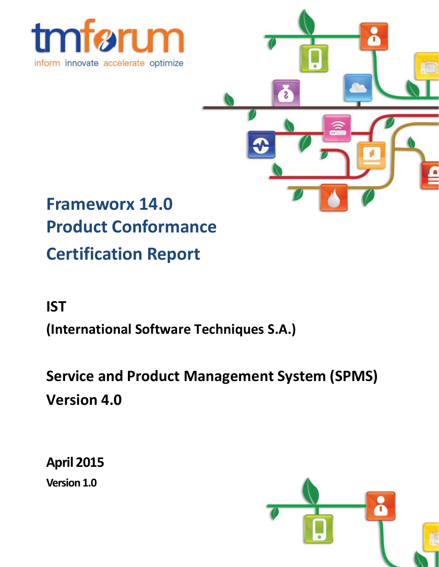



# **Frameworx 14.0 Product Conformance Certification Report**

## **IST**

**(International Software Techniques S.A.)**

**Service and Product Management System (SPMS) Version 4.0**

**April 2015 Version 1.0**

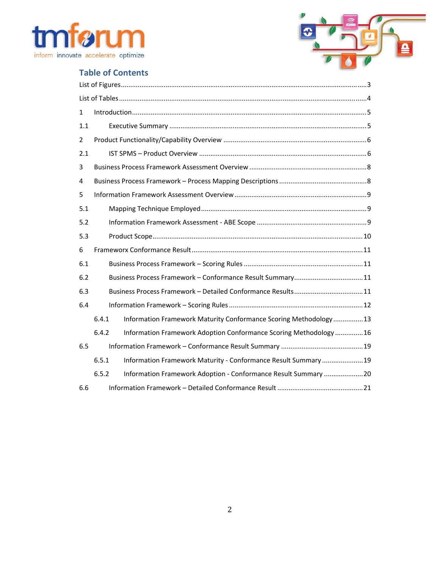



## **Table of Contents**

| 1              |       |                                                                   |
|----------------|-------|-------------------------------------------------------------------|
| 1.1            |       |                                                                   |
| $\overline{2}$ |       |                                                                   |
| 2.1            |       |                                                                   |
| 3              |       |                                                                   |
| 4              |       |                                                                   |
| 5              |       |                                                                   |
| 5.1            |       |                                                                   |
| 5.2            |       |                                                                   |
| 5.3            |       |                                                                   |
| 6              |       |                                                                   |
| 6.1            |       |                                                                   |
| 6.2            |       |                                                                   |
| 6.3            |       |                                                                   |
| 6.4            |       |                                                                   |
|                | 6.4.1 | Information Framework Maturity Conformance Scoring Methodology13  |
|                | 6.4.2 | Information Framework Adoption Conformance Scoring Methodology 16 |
| 6.5            |       |                                                                   |
|                | 6.5.1 | Information Framework Maturity - Conformance Result Summary 19    |
|                | 6.5.2 | Information Framework Adoption - Conformance Result Summary 20    |
| 6.6            |       |                                                                   |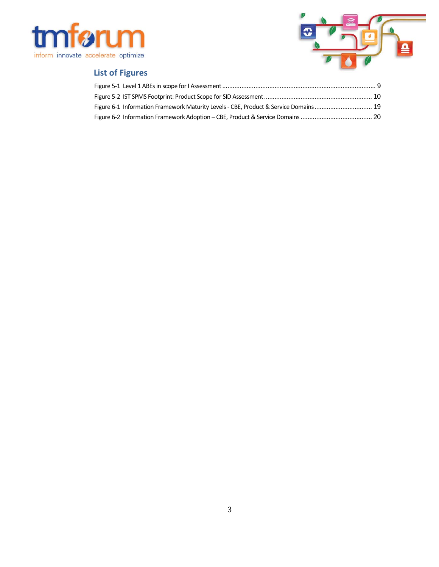



## **List of Figures**

| Figure 6-1 Information Framework Maturity Levels - CBE, Product & Service Domains 19 |  |
|--------------------------------------------------------------------------------------|--|
|                                                                                      |  |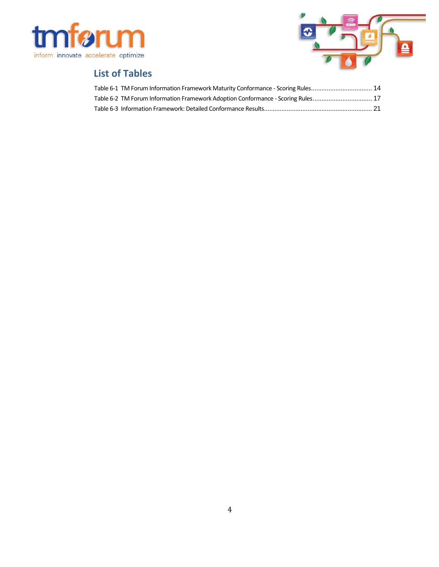



## **List of Tables**

| Table 6-1 TM Forum Information Framework Maturity Conformance - Scoring Rules 14 |  |
|----------------------------------------------------------------------------------|--|
| Table 6-2 TM Forum Information Framework Adoption Conformance - Scoring Rules 17 |  |
|                                                                                  |  |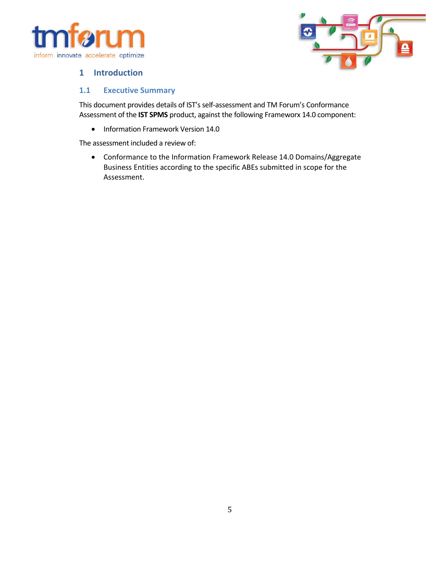



#### **1 Introduction**

#### **1.1 Executive Summary**

This document provides details of IST's self-assessment and TM Forum's Conformance Assessment of the **IST SPMS** product, against the following Frameworx 14.0 component:

• Information Framework Version 14.0

The assessment included a review of:

 Conformance to the Information Framework Release 14.0 Domains/Aggregate Business Entities according to the specific ABEs submitted in scope for the Assessment.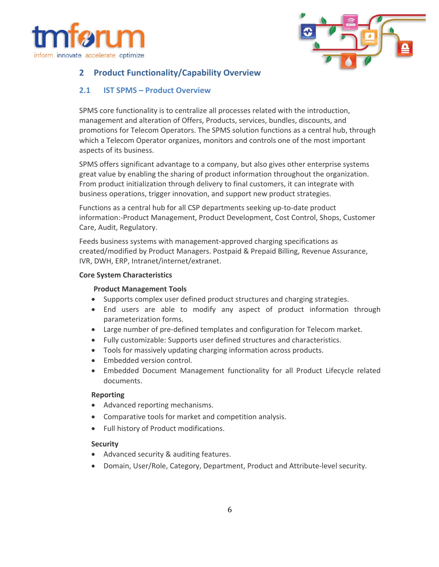



#### **2 Product Functionality/Capability Overview**

#### **2.1 IST SPMS – Product Overview**

SPMS core functionality is to centralize all processes related with the introduction, management and alteration of Offers, Products, services, bundles, discounts, and promotions for Telecom Operators. The SPMS solution functions as a central hub, through which a Telecom Operator organizes, monitors and controls one of the most important aspects of its business.

SPMS offers significant advantage to a company, but also gives other enterprise systems great value by enabling the sharing of product information throughout the organization. From product initialization through delivery to final customers, it can integrate with business operations, trigger innovation, and support new product strategies.

Functions as a central hub for all CSP departments seeking up‐to‐date product information:‐Product Management, Product Development, Cost Control, Shops, Customer Care, Audit, Regulatory.

Feeds business systems with management‐approved charging specifications as created/modified by Product Managers. Postpaid & Prepaid Billing, Revenue Assurance, IVR, DWH, ERP, Intranet/internet/extranet.

#### **Core System Characteristics**

#### **Product Management Tools**

- Supports complex user defined product structures and charging strategies.
- End users are able to modify any aspect of product information through parameterization forms.
- Large number of pre-defined templates and configuration for Telecom market.
- Fully customizable: Supports user defined structures and characteristics.
- Tools for massively updating charging information across products.
- Embedded version control.
- Embedded Document Management functionality for all Product Lifecycle related documents.

#### **Reporting**

- Advanced reporting mechanisms.
- Comparative tools for market and competition analysis.
- Full history of Product modifications.

#### **Security**

- Advanced security & auditing features.
- Domain, User/Role, Category, Department, Product and Attribute-level security.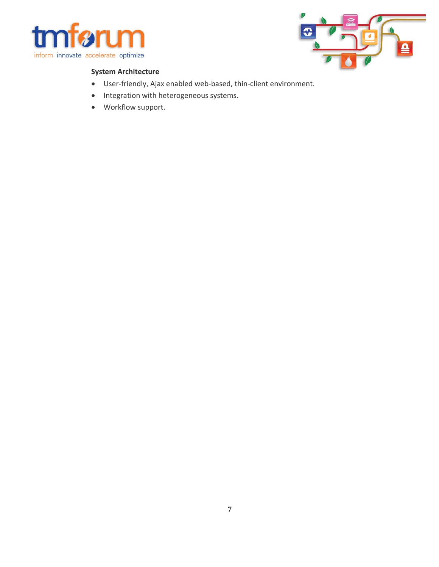



#### **System Architecture**

- User‐friendly, Ajax enabled web‐based, thin‐client environment.
- Integration with heterogeneous systems.
- Workflow support.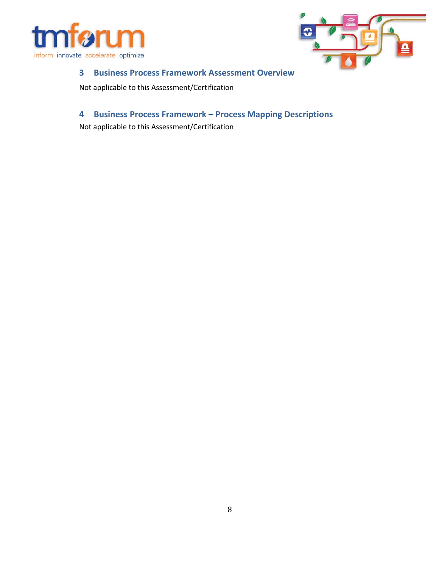



#### **3 Business Process Framework Assessment Overview**

Not applicable to this Assessment/Certification

## **4 Business Process Framework – Process Mapping Descriptions**

Not applicable to this Assessment/Certification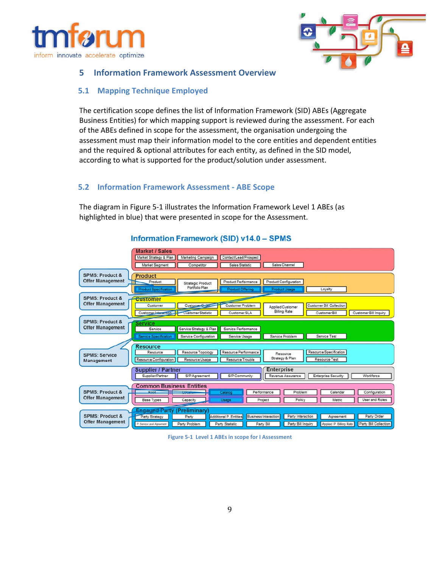



#### **5 Information Framework Assessment Overview**

#### **5.1 Mapping Technique Employed**

The certification scope defines the list of Information Framework (SID) ABEs (Aggregate Business Entities) for which mapping support is reviewed during the assessment. For each of the ABEs defined in scope for the assessment, the organisation undergoing the assessment must map their information model to the core entities and dependent entities and the required & optional attributes for each entity, as defined in the SID model, according to what is supported for the product/solution under assessment.

#### **5.2 Information Framework Assessment ‐ ABE Scope**

The diagram in Figure 5‐1 illustrates the Information Framework Level 1 ABEs (as highlighted in blue) that were presented in scope for the Assessment.



#### **Information Framework (SID) v14.0 - SPMS**

**Figure 5‐1 Level 1 ABEs in scope for I Assessment**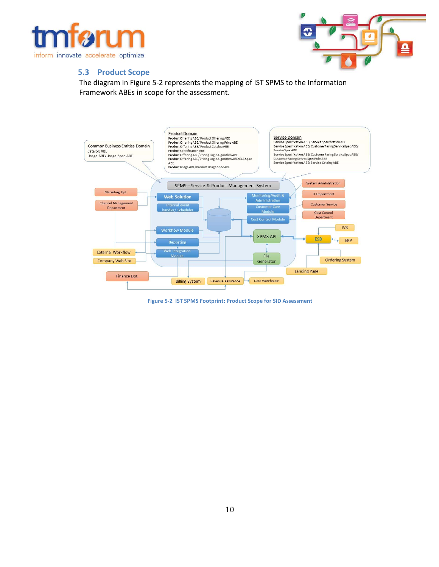



#### **5.3 Product Scope**

The diagram in Figure 5‐2 represents the mapping of IST SPMS to the Information Framework ABEs in scope for the assessment.



**Figure 5‐2 IST SPMS Footprint: Product Scope for SID Assessment**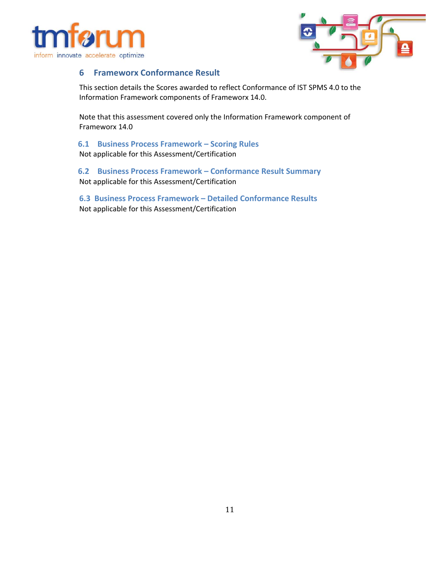



#### **6 Frameworx Conformance Result**

This section details the Scores awarded to reflect Conformance of IST SPMS 4.0 to the Information Framework components of Frameworx 14.0.

Note that this assessment covered only the Information Framework component of Frameworx 14.0

**6.1 Business Process Framework – Scoring Rules** Not applicable for this Assessment/Certification

**6.2 Business Process Framework – Conformance Result Summary** Not applicable for this Assessment/Certification

**6.3 Business Process Framework – Detailed Conformance Results**  Not applicable for this Assessment/Certification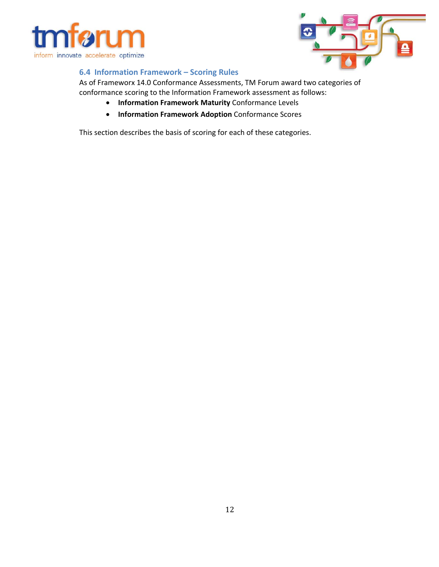



#### **6.4 Information Framework – Scoring Rules**

As of Frameworx 14.0 Conformance Assessments, TM Forum award two categories of conformance scoring to the Information Framework assessment as follows:

- **Information Framework Maturity** Conformance Levels
- **Information Framework Adoption** Conformance Scores

This section describes the basis of scoring for each of these categories.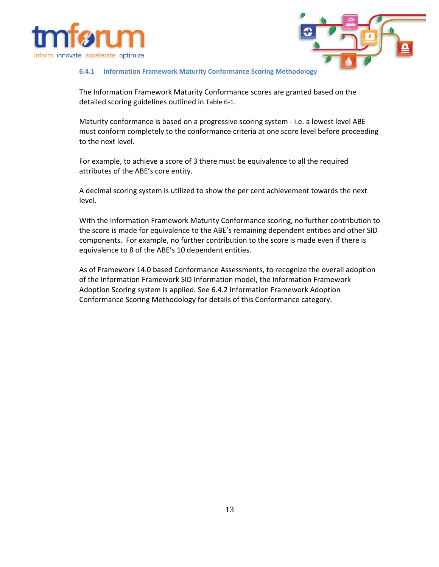



#### **6.4.1 Information Framework Maturity Conformance Scoring Methodology**

The Information Framework Maturity Conformance scores are granted based on the detailed scoring guidelines outlined in Table 6‐1.

Maturity conformance is based on a progressive scoring system ‐ i.e. a lowest level ABE must conform completely to the conformance criteria at one score level before proceeding to the next level.

For example, to achieve a score of 3 there must be equivalence to all the required attributes of the ABE's core entity.

A decimal scoring system is utilized to show the per cent achievement towards the next level.

With the Information Framework Maturity Conformance scoring, no further contribution to the score is made for equivalence to the ABE's remaining dependent entities and other SID components. For example, no further contribution to the score is made even if there is equivalence to 8 of the ABE's 10 dependent entities.

As of Frameworx 14.0 based Conformance Assessments, to recognize the overall adoption of the Information Framework SID Information model, the Information Framework Adoption Scoring system is applied. See 6.4.2 Information Framework Adoption Conformance Scoring Methodology for details of this Conformance category.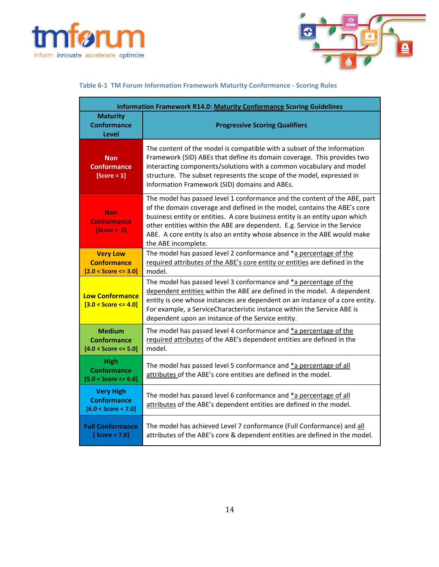



#### **Table 6‐1 TM Forum Information Framework Maturity Conformance ‐ Scoring Rules**

| <b>Information Framework R14.0: Maturity Conformance Scoring Guidelines</b>                                                                                                                                                                                                                                                                                                                                                                                              |                                                                                                                                                                                                                                                                                                                                                              |  |  |  |  |
|--------------------------------------------------------------------------------------------------------------------------------------------------------------------------------------------------------------------------------------------------------------------------------------------------------------------------------------------------------------------------------------------------------------------------------------------------------------------------|--------------------------------------------------------------------------------------------------------------------------------------------------------------------------------------------------------------------------------------------------------------------------------------------------------------------------------------------------------------|--|--|--|--|
| <b>Maturity</b><br><b>Conformance</b><br>Level                                                                                                                                                                                                                                                                                                                                                                                                                           | <b>Progressive Scoring Qualifiers</b>                                                                                                                                                                                                                                                                                                                        |  |  |  |  |
| <b>Non</b><br><b>Conformance</b><br>$[Score = 1]$                                                                                                                                                                                                                                                                                                                                                                                                                        | The content of the model is compatible with a subset of the Information<br>Framework (SID) ABEs that define its domain coverage. This provides two<br>interacting components/solutions with a common vocabulary and model<br>structure. The subset represents the scope of the model, expressed in<br>Information Framework (SID) domains and ABEs.          |  |  |  |  |
| The model has passed level 1 conformance and the content of the ABE, part<br>of the domain coverage and defined in the model, contains the ABE's core<br><b>Non</b><br>business entity or entities. A core business entity is an entity upon which<br><b>Conformance</b><br>other entities within the ABE are dependent. E.g. Service in the Service<br>$[Score = 2]$<br>ABE. A core entity is also an entity whose absence in the ABE would make<br>the ABE incomplete. |                                                                                                                                                                                                                                                                                                                                                              |  |  |  |  |
| <b>Very Low</b><br><b>Conformance</b><br>$[2.0 <$ Score $\leq$ 3.0]                                                                                                                                                                                                                                                                                                                                                                                                      | The model has passed level 2 conformance and *a percentage of the<br>required attributes of the ABE's core entity or entities are defined in the<br>model.                                                                                                                                                                                                   |  |  |  |  |
| <b>Low Conformance</b><br>$[3.0 < Score <= 4.0]$                                                                                                                                                                                                                                                                                                                                                                                                                         | The model has passed level 3 conformance and *a percentage of the<br>dependent entities within the ABE are defined in the model. A dependent<br>entity is one whose instances are dependent on an instance of a core entity.<br>For example, a ServiceCharacteristic instance within the Service ABE is<br>dependent upon an instance of the Service entity. |  |  |  |  |
| <b>Medium</b><br><b>Conformance</b><br>$[4.0 <$ Score <= 5.0]                                                                                                                                                                                                                                                                                                                                                                                                            | The model has passed level 4 conformance and *a percentage of the<br>required attributes of the ABE's dependent entities are defined in the<br>model.                                                                                                                                                                                                        |  |  |  |  |
| <b>High</b><br><b>Conformance</b><br>$[5.0 <$ Score $\leq 6.0]$                                                                                                                                                                                                                                                                                                                                                                                                          | The model has passed level 5 conformance and *a percentage of all<br>attributes of the ABE's core entities are defined in the model.                                                                                                                                                                                                                         |  |  |  |  |
| <b>Very High</b><br><b>Conformance</b><br>$[6.0 <$ Score $< 7.0]$                                                                                                                                                                                                                                                                                                                                                                                                        | The model has passed level 6 conformance and *a percentage of all<br>attributes of the ABE's dependent entities are defined in the model.                                                                                                                                                                                                                    |  |  |  |  |
| <b>Full Conformance</b><br>$[Score = 7.0]$                                                                                                                                                                                                                                                                                                                                                                                                                               | The model has achieved Level 7 conformance (Full Conformance) and all<br>attributes of the ABE's core & dependent entities are defined in the model.                                                                                                                                                                                                         |  |  |  |  |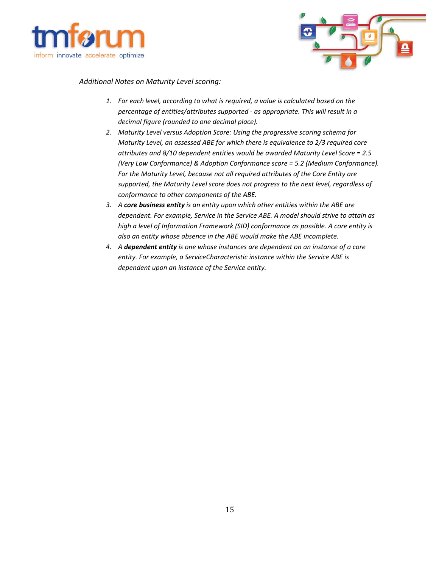



#### *Additional Notes on Maturity Level scoring:*

- *1. For each level, according to what is required, a value is calculated based on the percentage of entities/attributes supported ‐ as appropriate. This will result in a decimal figure (rounded to one decimal place).*
- *2. Maturity Level versus Adoption Score: Using the progressive scoring schema for Maturity Level, an assessed ABE for which there is equivalence to 2/3 required core attributes and 8/10 dependent entities would be awarded Maturity Level Score = 2.5 (Very Low Conformance) & Adoption Conformance score = 5.2 (Medium Conformance). For the Maturity Level, because not all required attributes of the Core Entity are supported, the Maturity Level score does not progress to the next level, regardless of conformance to other components of the ABE.*
- *3. A core business entity is an entity upon which other entities within the ABE are dependent. For example, Service in the Service ABE. A model should strive to attain as high a level of Information Framework (SID) conformance as possible. A core entity is also an entity whose absence in the ABE would make the ABE incomplete.*
- *4. A dependent entity is one whose instances are dependent on an instance of a core entity. For example, a ServiceCharacteristic instance within the Service ABE is dependent upon an instance of the Service entity.*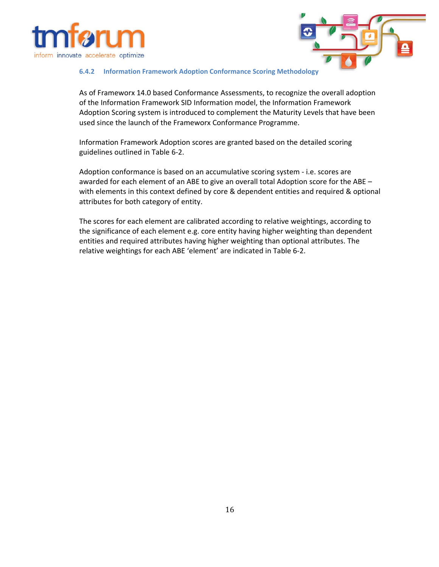



#### **6.4.2 Information Framework Adoption Conformance Scoring Methodology**

As of Frameworx 14.0 based Conformance Assessments, to recognize the overall adoption of the Information Framework SID Information model, the Information Framework Adoption Scoring system is introduced to complement the Maturity Levels that have been used since the launch of the Frameworx Conformance Programme.

Information Framework Adoption scores are granted based on the detailed scoring guidelines outlined in Table 6‐2.

Adoption conformance is based on an accumulative scoring system ‐ i.e. scores are awarded for each element of an ABE to give an overall total Adoption score for the ABE – with elements in this context defined by core & dependent entities and required & optional attributes for both category of entity.

The scores for each element are calibrated according to relative weightings, according to the significance of each element e.g. core entity having higher weighting than dependent entities and required attributes having higher weighting than optional attributes. The relative weightings for each ABE 'element' are indicated in Table 6‐2.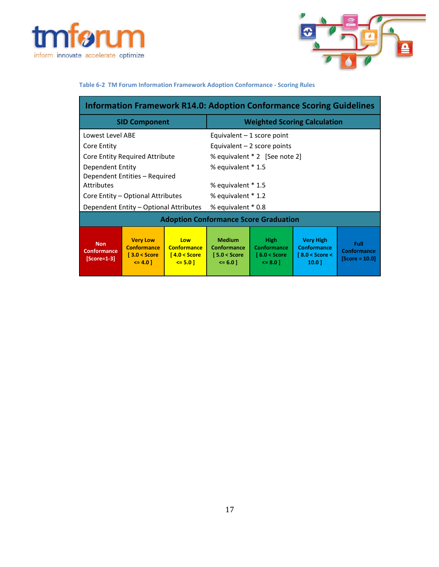



#### **Table 6‐2 TM Forum Information Framework Adoption Conformance ‐ Scoring Rules**

| <b>Information Framework R14.0: Adoption Conformance Scoring Guidelines</b> |                                                                               |                                                             |                                                               |                                                                  |                                                                              |                                         |  |  |
|-----------------------------------------------------------------------------|-------------------------------------------------------------------------------|-------------------------------------------------------------|---------------------------------------------------------------|------------------------------------------------------------------|------------------------------------------------------------------------------|-----------------------------------------|--|--|
|                                                                             | <b>SID Component</b>                                                          |                                                             | <b>Weighted Scoring Calculation</b>                           |                                                                  |                                                                              |                                         |  |  |
| Lowest Level ABE                                                            |                                                                               |                                                             |                                                               | Equivalent $-1$ score point                                      |                                                                              |                                         |  |  |
| Core Entity                                                                 |                                                                               |                                                             |                                                               | Equivalent $-2$ score points                                     |                                                                              |                                         |  |  |
| Core Entity Required Attribute                                              |                                                                               |                                                             |                                                               | % equivalent * 2 [See note 2]                                    |                                                                              |                                         |  |  |
| Dependent Entity<br>Dependent Entities - Required                           |                                                                               |                                                             | % equivalent * 1.5                                            |                                                                  |                                                                              |                                         |  |  |
| <b>Attributes</b>                                                           |                                                                               |                                                             | % equivalent * 1.5                                            |                                                                  |                                                                              |                                         |  |  |
| Core Entity - Optional Attributes                                           |                                                                               |                                                             | % equivalent * 1.2                                            |                                                                  |                                                                              |                                         |  |  |
| Dependent Entity - Optional Attributes                                      |                                                                               |                                                             | % equivalent * 0.8                                            |                                                                  |                                                                              |                                         |  |  |
| <b>Adoption Conformance Score Graduation</b>                                |                                                                               |                                                             |                                                               |                                                                  |                                                                              |                                         |  |  |
| <b>Non</b><br><b>Conformance</b><br>$[Score=1-3]$                           | <b>Very Low</b><br><b>Conformance</b><br>$\sqrt{3.0}$ < Score<br>$\leq 4.0$ ] | Low<br><b>Conformance</b><br>$14.0 <$ Score<br>$\leq 5.0$ ] | <b>Medium</b><br>Conformance<br>$5.0 <$ Score<br>$\leq 6.0$ ] | <b>High</b><br><b>Conformance</b><br>$6.0 <$ Score<br>$\leq 8.0$ | <b>Very High</b><br><b>Conformance</b><br>$\sqrt{8.0}$ < Score <<br>$10.0$ ] | Full<br>Conformance<br>$[Score = 10.0]$ |  |  |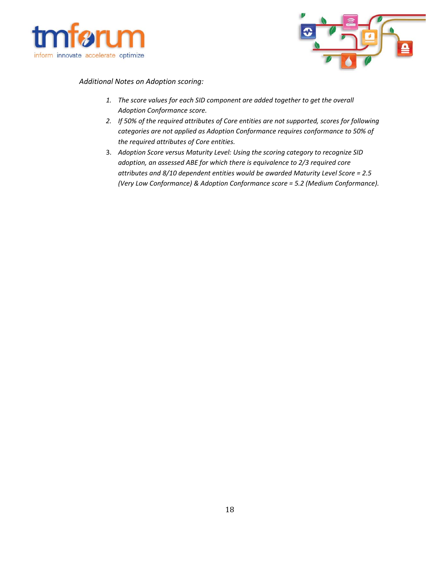



*Additional Notes on Adoption scoring:* 

- *1. The score values for each SID component are added together to get the overall Adoption Conformance score.*
- *2. If 50% of the required attributes of Core entities are not supported, scores for following categories are not applied as Adoption Conformance requires conformance to 50% of the required attributes of Core entities.*
- 3. *Adoption Score versus Maturity Level: Using the scoring category to recognize SID adoption, an assessed ABE for which there is equivalence to 2/3 required core attributes and 8/10 dependent entities would be awarded Maturity Level Score = 2.5 (Very Low Conformance) & Adoption Conformance score = 5.2 (Medium Conformance).*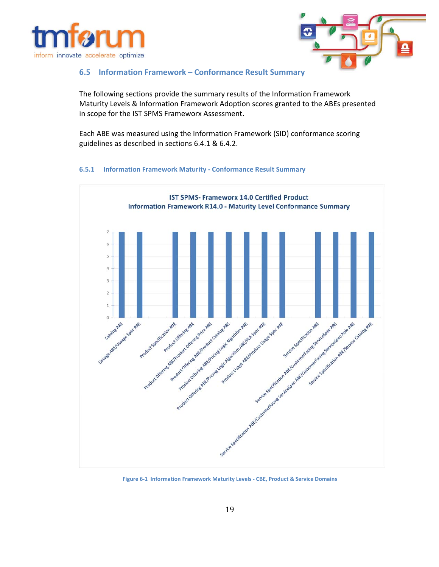



#### **6.5 Information Framework – Conformance Result Summary**

The following sections provide the summary results of the Information Framework Maturity Levels & Information Framework Adoption scores granted to the ABEs presented in scope for the IST SPMS Frameworx Assessment.

Each ABE was measured using the Information Framework (SID) conformance scoring guidelines as described in sections 6.4.1 & 6.4.2.





**Figure 6‐1 Information Framework Maturity Levels ‐ CBE, Product & Service Domains**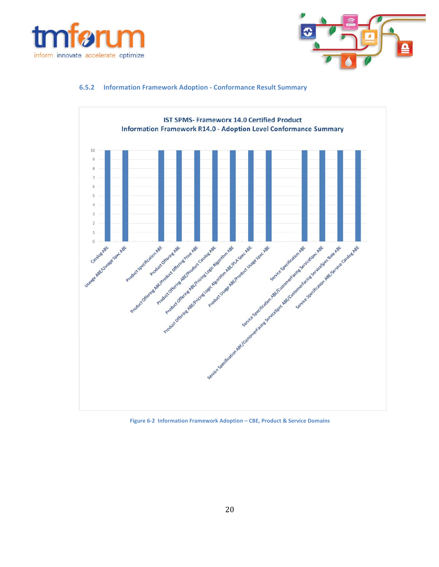



#### **6.5.2 Information Framework Adoption ‐ Conformance Result Summary**



**Figure 6‐2 Information Framework Adoption – CBE, Product & Service Domains**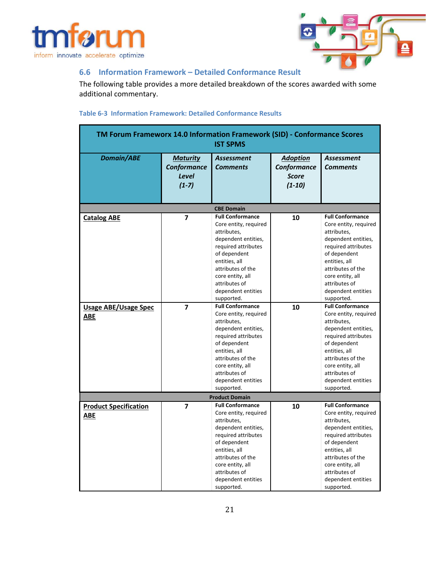



#### **6.6 Information Framework – Detailed Conformance Result**

The following table provides a more detailed breakdown of the scores awarded with some additional commentary.

#### **Table 6‐3 Information Framework: Detailed Conformance Results**

| TM Forum Frameworx 14.0 Information Framework (SID) - Conformance Scores<br><b>IST SPMS</b> |                                                    |                                                                                                                                                                                                                                              |                                                            |                                                                                                                                                                                                                                              |  |
|---------------------------------------------------------------------------------------------|----------------------------------------------------|----------------------------------------------------------------------------------------------------------------------------------------------------------------------------------------------------------------------------------------------|------------------------------------------------------------|----------------------------------------------------------------------------------------------------------------------------------------------------------------------------------------------------------------------------------------------|--|
| <b>Domain/ABE</b>                                                                           | <b>Maturity</b><br>Conformance<br>Level<br>$(1-7)$ | Assessment<br><b>Comments</b>                                                                                                                                                                                                                | <b>Adoption</b><br>Conformance<br><b>Score</b><br>$(1-10)$ | <b>Assessment</b><br><b>Comments</b>                                                                                                                                                                                                         |  |
|                                                                                             |                                                    | <b>CBE Domain</b>                                                                                                                                                                                                                            |                                                            |                                                                                                                                                                                                                                              |  |
| <b>Catalog ABE</b>                                                                          | 7                                                  | <b>Full Conformance</b><br>Core entity, required<br>attributes,<br>dependent entities,<br>required attributes<br>of dependent<br>entities, all<br>attributes of the<br>core entity, all<br>attributes of<br>dependent entities<br>supported. | 10                                                         | <b>Full Conformance</b><br>Core entity, required<br>attributes,<br>dependent entities,<br>required attributes<br>of dependent<br>entities, all<br>attributes of the<br>core entity, all<br>attributes of<br>dependent entities<br>supported. |  |
| <b>Usage ABE/Usage Spec</b>                                                                 | $\overline{7}$                                     | <b>Full Conformance</b>                                                                                                                                                                                                                      | 10                                                         | <b>Full Conformance</b>                                                                                                                                                                                                                      |  |
| ABE                                                                                         |                                                    | Core entity, required<br>attributes,<br>dependent entities,<br>required attributes<br>of dependent<br>entities, all<br>attributes of the<br>core entity, all<br>attributes of<br>dependent entities<br>supported.                            |                                                            | Core entity, required<br>attributes,<br>dependent entities,<br>required attributes<br>of dependent<br>entities, all<br>attributes of the<br>core entity, all<br>attributes of<br>dependent entities<br>supported.                            |  |
|                                                                                             |                                                    | <b>Product Domain</b>                                                                                                                                                                                                                        |                                                            |                                                                                                                                                                                                                                              |  |
| <b>Product Specification</b><br>ABE                                                         | 7                                                  | <b>Full Conformance</b><br>Core entity, required<br>attributes,<br>dependent entities,<br>required attributes<br>of dependent<br>entities, all<br>attributes of the<br>core entity, all<br>attributes of<br>dependent entities<br>supported. | 10                                                         | <b>Full Conformance</b><br>Core entity, required<br>attributes,<br>dependent entities,<br>required attributes<br>of dependent<br>entities, all<br>attributes of the<br>core entity, all<br>attributes of<br>dependent entities<br>supported. |  |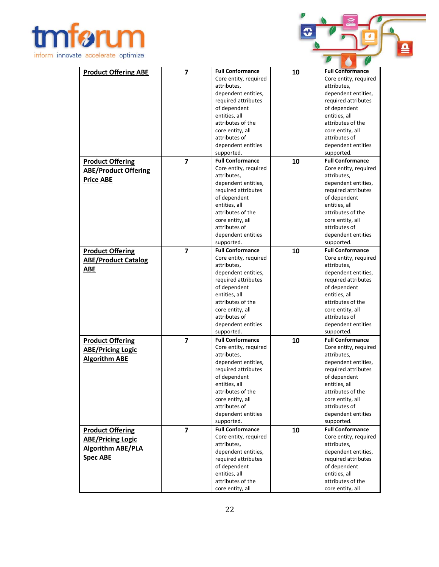



| <b>Product Offering ABE</b> | $\overline{7}$ | <b>Full Conformance</b> | 10 | <b>Full Conformance</b> |
|-----------------------------|----------------|-------------------------|----|-------------------------|
|                             |                | Core entity, required   |    | Core entity, required   |
|                             |                | attributes,             |    | attributes,             |
|                             |                | dependent entities,     |    | dependent entities,     |
|                             |                | required attributes     |    | required attributes     |
|                             |                | of dependent            |    | of dependent            |
|                             |                | entities, all           |    | entities, all           |
|                             |                | attributes of the       |    | attributes of the       |
|                             |                | core entity, all        |    | core entity, all        |
|                             |                | attributes of           |    | attributes of           |
|                             |                | dependent entities      |    | dependent entities      |
|                             |                | supported.              |    | supported.              |
| <b>Product Offering</b>     | $\overline{7}$ | <b>Full Conformance</b> | 10 | <b>Full Conformance</b> |
|                             |                | Core entity, required   |    | Core entity, required   |
| <b>ABE/Product Offering</b> |                | attributes,             |    | attributes,             |
| <b>Price ABE</b>            |                | dependent entities,     |    | dependent entities,     |
|                             |                | required attributes     |    | required attributes     |
|                             |                | of dependent            |    | of dependent            |
|                             |                | entities, all           |    | entities, all           |
|                             |                | attributes of the       |    | attributes of the       |
|                             |                | core entity, all        |    | core entity, all        |
|                             |                | attributes of           |    | attributes of           |
|                             |                | dependent entities      |    | dependent entities      |
|                             |                | supported.              |    | supported.              |
| <b>Product Offering</b>     | $\overline{7}$ | <b>Full Conformance</b> | 10 | <b>Full Conformance</b> |
|                             |                | Core entity, required   |    | Core entity, required   |
| <b>ABE/Product Catalog</b>  |                | attributes,             |    | attributes,             |
| <b>ABE</b>                  |                | dependent entities,     |    | dependent entities,     |
|                             |                | required attributes     |    | required attributes     |
|                             |                | of dependent            |    | of dependent            |
|                             |                | entities, all           |    | entities, all           |
|                             |                | attributes of the       |    | attributes of the       |
|                             |                | core entity, all        |    | core entity, all        |
|                             |                | attributes of           |    | attributes of           |
|                             |                | dependent entities      |    | dependent entities      |
|                             |                | supported.              |    | supported.              |
| <b>Product Offering</b>     | $\overline{7}$ | <b>Full Conformance</b> | 10 | <b>Full Conformance</b> |
| <b>ABE/Pricing Logic</b>    |                | Core entity, required   |    | Core entity, required   |
|                             |                | attributes,             |    | attributes,             |
| <b>Algorithm ABE</b>        |                | dependent entities,     |    | dependent entities,     |
|                             |                | required attributes     |    | required attributes     |
|                             |                | of dependent            |    | of dependent            |
|                             |                | entities, all           |    | entities, all           |
|                             |                | attributes of the       |    | attributes of the       |
|                             |                | core entity, all        |    | core entity, all        |
|                             |                | attributes of           |    | attributes of           |
|                             |                | dependent entities      |    | dependent entities      |
|                             |                | supported.              |    | supported.              |
| <b>Product Offering</b>     | $\overline{7}$ | <b>Full Conformance</b> | 10 | <b>Full Conformance</b> |
| <b>ABE/Pricing Logic</b>    |                | Core entity, required   |    | Core entity, required   |
| <b>Algorithm ABE/PLA</b>    |                | attributes,             |    | attributes,             |
|                             |                | dependent entities,     |    | dependent entities,     |
| <b>Spec ABE</b>             |                | required attributes     |    | required attributes     |
|                             |                | of dependent            |    | of dependent            |
|                             |                | entities, all           |    | entities, all           |
|                             |                | attributes of the       |    | attributes of the       |
|                             |                | core entity, all        |    | core entity, all        |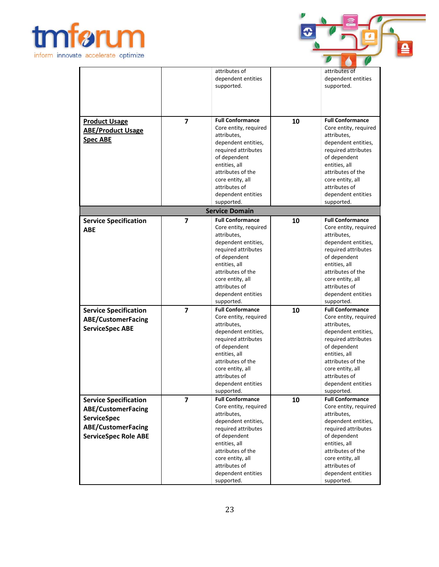



|                                                                                                                                             |                                  | attributes of<br>dependent entities<br>supported.                                                                                                                                                                                                                                                                                                                                                                                       |          | attributes of<br>dependent entities<br>supported.                                                                                                                                                                                                                                                                                                                                                                                       |
|---------------------------------------------------------------------------------------------------------------------------------------------|----------------------------------|-----------------------------------------------------------------------------------------------------------------------------------------------------------------------------------------------------------------------------------------------------------------------------------------------------------------------------------------------------------------------------------------------------------------------------------------|----------|-----------------------------------------------------------------------------------------------------------------------------------------------------------------------------------------------------------------------------------------------------------------------------------------------------------------------------------------------------------------------------------------------------------------------------------------|
| <b>Product Usage</b><br><b>ABE/Product Usage</b><br><b>Spec ABE</b>                                                                         | $\overline{7}$                   | <b>Full Conformance</b><br>Core entity, required<br>attributes,<br>dependent entities,<br>required attributes<br>of dependent<br>entities, all<br>attributes of the<br>core entity, all<br>attributes of<br>dependent entities<br>supported.                                                                                                                                                                                            | 10       | <b>Full Conformance</b><br>Core entity, required<br>attributes,<br>dependent entities,<br>required attributes<br>of dependent<br>entities, all<br>attributes of the<br>core entity, all<br>attributes of<br>dependent entities<br>supported.                                                                                                                                                                                            |
|                                                                                                                                             |                                  | <b>Service Domain</b>                                                                                                                                                                                                                                                                                                                                                                                                                   |          |                                                                                                                                                                                                                                                                                                                                                                                                                                         |
| <b>Service Specification</b><br><b>ABE</b><br><b>Service Specification</b><br><b>ABE/CustomerFacing</b><br><b>ServiceSpec ABE</b>           | $\overline{7}$<br>$\overline{7}$ | <b>Full Conformance</b><br>Core entity, required<br>attributes,<br>dependent entities,<br>required attributes<br>of dependent<br>entities, all<br>attributes of the<br>core entity, all<br>attributes of<br>dependent entities<br>supported.<br><b>Full Conformance</b><br>Core entity, required<br>attributes,<br>dependent entities,<br>required attributes<br>of dependent<br>entities, all<br>attributes of the<br>core entity, all | 10<br>10 | <b>Full Conformance</b><br>Core entity, required<br>attributes,<br>dependent entities,<br>required attributes<br>of dependent<br>entities, all<br>attributes of the<br>core entity, all<br>attributes of<br>dependent entities<br>supported.<br><b>Full Conformance</b><br>Core entity, required<br>attributes,<br>dependent entities,<br>required attributes<br>of dependent<br>entities, all<br>attributes of the<br>core entity, all |
|                                                                                                                                             |                                  | attributes of<br>dependent entities                                                                                                                                                                                                                                                                                                                                                                                                     |          | attributes of<br>dependent entities                                                                                                                                                                                                                                                                                                                                                                                                     |
| <b>Service Specification</b><br><b>ABE/CustomerFacing</b><br><b>ServiceSpec</b><br><b>ABE/CustomerFacing</b><br><b>ServiceSpec Role ABE</b> | $\overline{\mathbf{z}}$          | supported.<br><b>Full Conformance</b><br>Core entity, required<br>attributes,<br>dependent entities,<br>required attributes<br>of dependent<br>entities, all<br>attributes of the<br>core entity, all<br>attributes of<br>dependent entities                                                                                                                                                                                            | 10       | supported.<br><b>Full Conformance</b><br>Core entity, required<br>attributes,<br>dependent entities,<br>required attributes<br>of dependent<br>entities, all<br>attributes of the<br>core entity, all<br>attributes of<br>dependent entities                                                                                                                                                                                            |